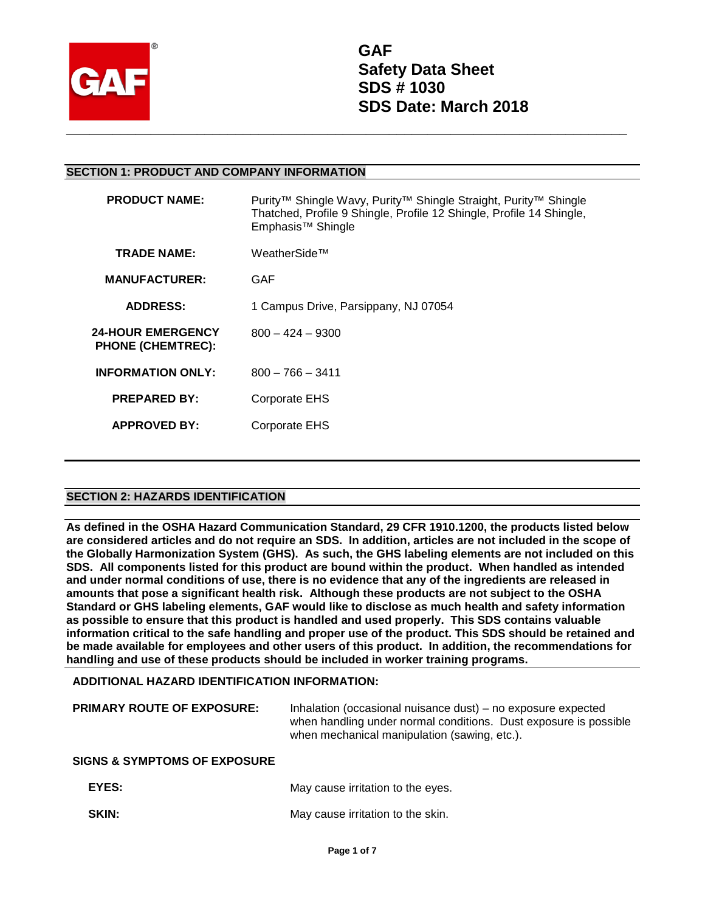

#### **SECTION 1: PRODUCT AND COMPANY INFORMATION**

| <b>PRODUCT NAME:</b>                                 | Purity <sup>™</sup> Shingle Wavy, Purity™ Shingle Straight, Purity™ Shingle<br>Thatched, Profile 9 Shingle, Profile 12 Shingle, Profile 14 Shingle,<br>Emphasis <sup>™</sup> Shingle |
|------------------------------------------------------|--------------------------------------------------------------------------------------------------------------------------------------------------------------------------------------|
| <b>TRADE NAME:</b>                                   | WeatherSide™                                                                                                                                                                         |
| <b>MANUFACTURER:</b>                                 | GAF                                                                                                                                                                                  |
| <b>ADDRESS:</b>                                      | 1 Campus Drive, Parsippany, NJ 07054                                                                                                                                                 |
| <b>24-HOUR EMERGENCY</b><br><b>PHONE (CHEMTREC):</b> | $800 - 424 - 9300$                                                                                                                                                                   |
| <b>INFORMATION ONLY:</b>                             | $800 - 766 - 3411$                                                                                                                                                                   |
| <b>PREPARED BY:</b>                                  | Corporate EHS                                                                                                                                                                        |
| <b>APPROVED BY:</b>                                  | Corporate EHS                                                                                                                                                                        |
|                                                      |                                                                                                                                                                                      |

## **SECTION 2: HAZARDS IDENTIFICATION**

**As defined in the OSHA Hazard Communication Standard, 29 CFR 1910.1200, the products listed below are considered articles and do not require an SDS. In addition, articles are not included in the scope of the Globally Harmonization System (GHS). As such, the GHS labeling elements are not included on this SDS. All components listed for this product are bound within the product. When handled as intended and under normal conditions of use, there is no evidence that any of the ingredients are released in amounts that pose a significant health risk. Although these products are not subject to the OSHA Standard or GHS labeling elements, GAF would like to disclose as much health and safety information as possible to ensure that this product is handled and used properly. This SDS contains valuable information critical to the safe handling and proper use of the product. This SDS should be retained and be made available for employees and other users of this product. In addition, the recommendations for handling and use of these products should be included in worker training programs.** 

#### **ADDITIONAL HAZARD IDENTIFICATION INFORMATION:**

| <b>PRIMARY ROUTE OF EXPOSURE:</b>       | Inhalation (occasional nuisance dust) – no exposure expected<br>when handling under normal conditions. Dust exposure is possible<br>when mechanical manipulation (sawing, etc.). |
|-----------------------------------------|----------------------------------------------------------------------------------------------------------------------------------------------------------------------------------|
| <b>SIGNS &amp; SYMPTOMS OF EXPOSURE</b> |                                                                                                                                                                                  |
| EYES:                                   | May cause irritation to the eyes.                                                                                                                                                |
| <b>SKIN:</b>                            | May cause irritation to the skin.                                                                                                                                                |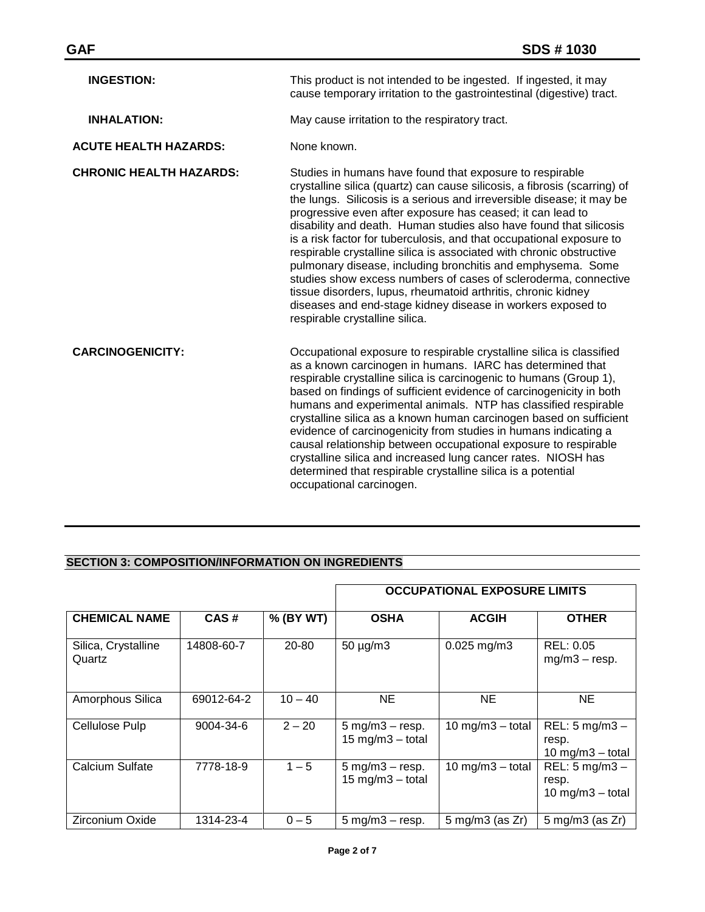| <b>INGESTION:</b>              | This product is not intended to be ingested. If ingested, it may<br>cause temporary irritation to the gastrointestinal (digestive) tract.                                                                                                                                                                                                                                                                                                                                                                                                                                                                                                                                                                                                                                                              |
|--------------------------------|--------------------------------------------------------------------------------------------------------------------------------------------------------------------------------------------------------------------------------------------------------------------------------------------------------------------------------------------------------------------------------------------------------------------------------------------------------------------------------------------------------------------------------------------------------------------------------------------------------------------------------------------------------------------------------------------------------------------------------------------------------------------------------------------------------|
| <b>INHALATION:</b>             | May cause irritation to the respiratory tract.                                                                                                                                                                                                                                                                                                                                                                                                                                                                                                                                                                                                                                                                                                                                                         |
| <b>ACUTE HEALTH HAZARDS:</b>   | None known.                                                                                                                                                                                                                                                                                                                                                                                                                                                                                                                                                                                                                                                                                                                                                                                            |
| <b>CHRONIC HEALTH HAZARDS:</b> | Studies in humans have found that exposure to respirable<br>crystalline silica (quartz) can cause silicosis, a fibrosis (scarring) of<br>the lungs. Silicosis is a serious and irreversible disease; it may be<br>progressive even after exposure has ceased; it can lead to<br>disability and death. Human studies also have found that silicosis<br>is a risk factor for tuberculosis, and that occupational exposure to<br>respirable crystalline silica is associated with chronic obstructive<br>pulmonary disease, including bronchitis and emphysema. Some<br>studies show excess numbers of cases of scleroderma, connective<br>tissue disorders, lupus, rheumatoid arthritis, chronic kidney<br>diseases and end-stage kidney disease in workers exposed to<br>respirable crystalline silica. |
| <b>CARCINOGENICITY:</b>        | Occupational exposure to respirable crystalline silica is classified<br>as a known carcinogen in humans. IARC has determined that<br>respirable crystalline silica is carcinogenic to humans (Group 1),<br>based on findings of sufficient evidence of carcinogenicity in both<br>humans and experimental animals. NTP has classified respirable<br>crystalline silica as a known human carcinogen based on sufficient<br>evidence of carcinogenicity from studies in humans indicating a<br>causal relationship between occupational exposure to respirable<br>crystalline silica and increased lung cancer rates. NIOSH has<br>determined that respirable crystalline silica is a potential<br>occupational carcinogen.                                                                              |

# **SECTION 3: COMPOSITION/INFORMATION ON INGREDIENTS**

|                               |                 |           |                                                                          | <b>OCCUPATIONAL EXPOSURE LIMITS</b> |                                                          |
|-------------------------------|-----------------|-----------|--------------------------------------------------------------------------|-------------------------------------|----------------------------------------------------------|
| <b>CHEMICAL NAME</b>          | CAS#            | % (BY WT) | <b>OSHA</b>                                                              | <b>ACGIH</b>                        | <b>OTHER</b>                                             |
| Silica, Crystalline<br>Quartz | 14808-60-7      | 20-80     | $50 \mu g/m3$                                                            | $0.025$ mg/m3                       | REL: 0.05<br>$mg/m3 - resp.$                             |
| Amorphous Silica              | 69012-64-2      | $10 - 40$ | <b>NE</b>                                                                | NE.                                 | NE.                                                      |
| Cellulose Pulp                | $9004 - 34 - 6$ | $2 - 20$  | $5 \text{ mg/m}3 - \text{resp.}$<br>$15 \text{ mg/m}$ $3 - \text{total}$ | 10 mg/m $3$ - total                 | REL: $5 \text{ mg/m}3 -$<br>resp.<br>10 mg/m $3$ – total |
| Calcium Sulfate               | 7778-18-9       | $1 - 5$   | $5$ mg/m $3$ - resp.<br>$15 \text{ mg/m}$ $3 - \text{total}$             | $10$ mg/m $3$ - total               | $REL: 5 mg/m3 -$<br>resp.<br>$10$ mg/m $3$ - total       |
| <b>Zirconium Oxide</b>        | 1314-23-4       | $0 - 5$   | $5 \text{ mg/m}3 - \text{resp.}$                                         | $5 \text{ mg/m}$ 3 (as Zr)          | $5 \text{ mg/m}$ $3 \text{ (as Zr)}$                     |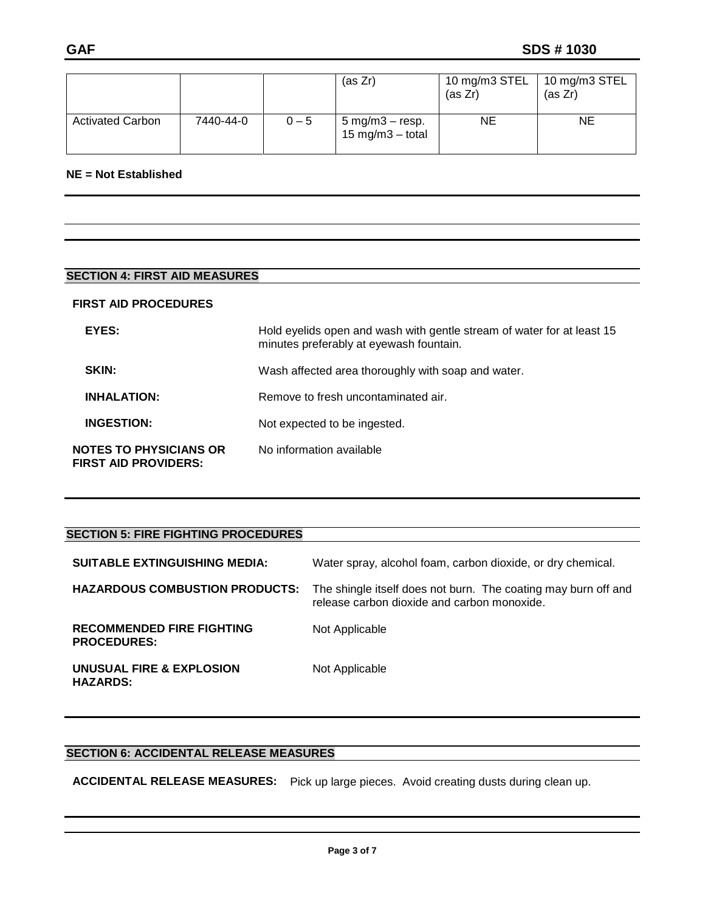|                         |           |         | (as Zr)                                                         | 10 mg/m3 STEL<br>(as Zr) | 10 mg/m3 STEL<br>(as Zr) |
|-------------------------|-----------|---------|-----------------------------------------------------------------|--------------------------|--------------------------|
| <b>Activated Carbon</b> | 7440-44-0 | $0 - 5$ | $5 \text{ mg/m}3 - \text{resp.}$<br>$15 \text{ mg/m}$ 3 - total | ΝE                       | ΝE                       |

### **NE = Not Established**

# **SECTION 4: FIRST AID MEASURES**

#### **FIRST AID PROCEDURES**

| EYES:                                                        | Hold eyelids open and wash with gentle stream of water for at least 15<br>minutes preferably at eyewash fountain. |
|--------------------------------------------------------------|-------------------------------------------------------------------------------------------------------------------|
| <b>SKIN:</b>                                                 | Wash affected area thoroughly with soap and water.                                                                |
| <b>INHALATION:</b>                                           | Remove to fresh uncontaminated air.                                                                               |
| <b>INGESTION:</b>                                            | Not expected to be ingested.                                                                                      |
| <b>NOTES TO PHYSICIANS OR</b><br><b>FIRST AID PROVIDERS:</b> | No information available                                                                                          |

| <b>SECTION 5: FIRE FIGHTING PROCEDURES</b>             |                                                                                                               |
|--------------------------------------------------------|---------------------------------------------------------------------------------------------------------------|
| <b>SUITABLE EXTINGUISHING MEDIA:</b>                   | Water spray, alcohol foam, carbon dioxide, or dry chemical.                                                   |
| <b>HAZARDOUS COMBUSTION PRODUCTS:</b>                  | The shingle itself does not burn. The coating may burn off and<br>release carbon dioxide and carbon monoxide. |
| <b>RECOMMENDED FIRE FIGHTING</b><br><b>PROCEDURES:</b> | Not Applicable                                                                                                |
| UNUSUAL FIRE & EXPLOSION<br><b>HAZARDS:</b>            | Not Applicable                                                                                                |

### **SECTION 6: ACCIDENTAL RELEASE MEASURES**

**ACCIDENTAL RELEASE MEASURES:** Pick up large pieces. Avoid creating dusts during clean up.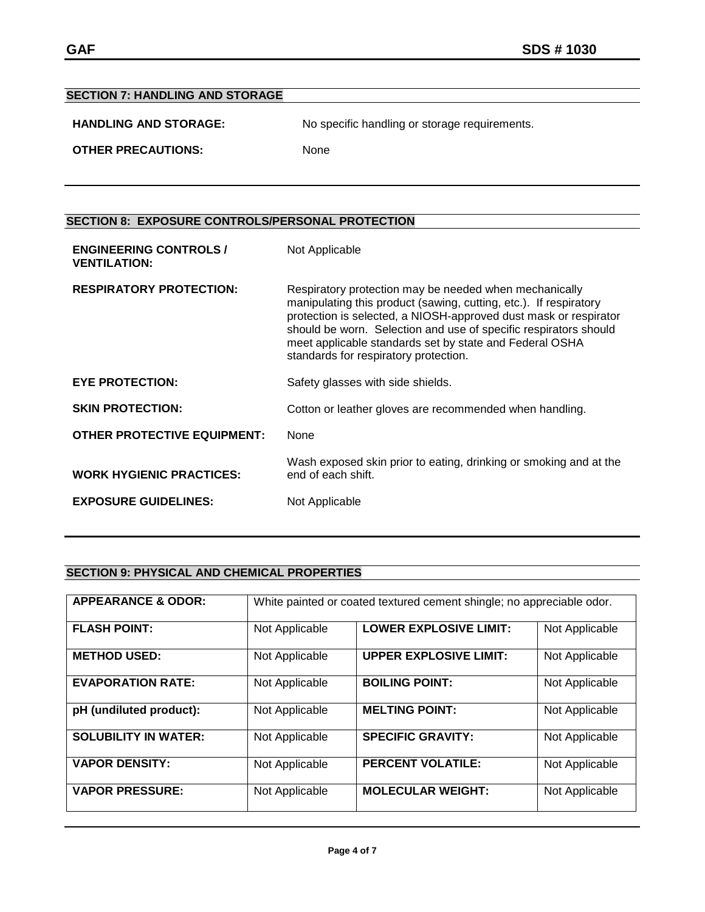| <b>SECTION 7: HANDLING AND STORAGE</b> |                                               |
|----------------------------------------|-----------------------------------------------|
| <b>HANDLING AND STORAGE:</b>           | No specific handling or storage requirements. |
| <b>OTHER PRECAUTIONS:</b>              | <b>None</b>                                   |

# **SECTION 8: EXPOSURE CONTROLS/PERSONAL PROTECTION**

| <b>ENGINEERING CONTROLS /</b><br><b>VENTILATION:</b> | Not Applicable                                                                                                                                                                                                                                                                                                                                                          |
|------------------------------------------------------|-------------------------------------------------------------------------------------------------------------------------------------------------------------------------------------------------------------------------------------------------------------------------------------------------------------------------------------------------------------------------|
| <b>RESPIRATORY PROTECTION:</b>                       | Respiratory protection may be needed when mechanically<br>manipulating this product (sawing, cutting, etc.). If respiratory<br>protection is selected, a NIOSH-approved dust mask or respirator<br>should be worn. Selection and use of specific respirators should<br>meet applicable standards set by state and Federal OSHA<br>standards for respiratory protection. |
| <b>EYE PROTECTION:</b>                               | Safety glasses with side shields.                                                                                                                                                                                                                                                                                                                                       |
| <b>SKIN PROTECTION:</b>                              | Cotton or leather gloves are recommended when handling.                                                                                                                                                                                                                                                                                                                 |
| <b>OTHER PROTECTIVE EQUIPMENT:</b>                   | None                                                                                                                                                                                                                                                                                                                                                                    |
| <b>WORK HYGIENIC PRACTICES:</b>                      | Wash exposed skin prior to eating, drinking or smoking and at the<br>end of each shift.                                                                                                                                                                                                                                                                                 |
| <b>EXPOSURE GUIDELINES:</b>                          | Not Applicable                                                                                                                                                                                                                                                                                                                                                          |

# **SECTION 9: PHYSICAL AND CHEMICAL PROPERTIES**

| <b>APPEARANCE &amp; ODOR:</b> |                | White painted or coated textured cement shingle; no appreciable odor. |                |
|-------------------------------|----------------|-----------------------------------------------------------------------|----------------|
| <b>FLASH POINT:</b>           | Not Applicable | <b>LOWER EXPLOSIVE LIMIT:</b>                                         | Not Applicable |
| <b>METHOD USED:</b>           | Not Applicable | <b>UPPER EXPLOSIVE LIMIT:</b>                                         | Not Applicable |
| <b>EVAPORATION RATE:</b>      | Not Applicable | <b>BOILING POINT:</b>                                                 | Not Applicable |
| pH (undiluted product):       | Not Applicable | <b>MELTING POINT:</b>                                                 | Not Applicable |
| <b>SOLUBILITY IN WATER:</b>   | Not Applicable | <b>SPECIFIC GRAVITY:</b>                                              | Not Applicable |
| <b>VAPOR DENSITY:</b>         | Not Applicable | <b>PERCENT VOLATILE:</b>                                              | Not Applicable |
| <b>VAPOR PRESSURE:</b>        | Not Applicable | <b>MOLECULAR WEIGHT:</b>                                              | Not Applicable |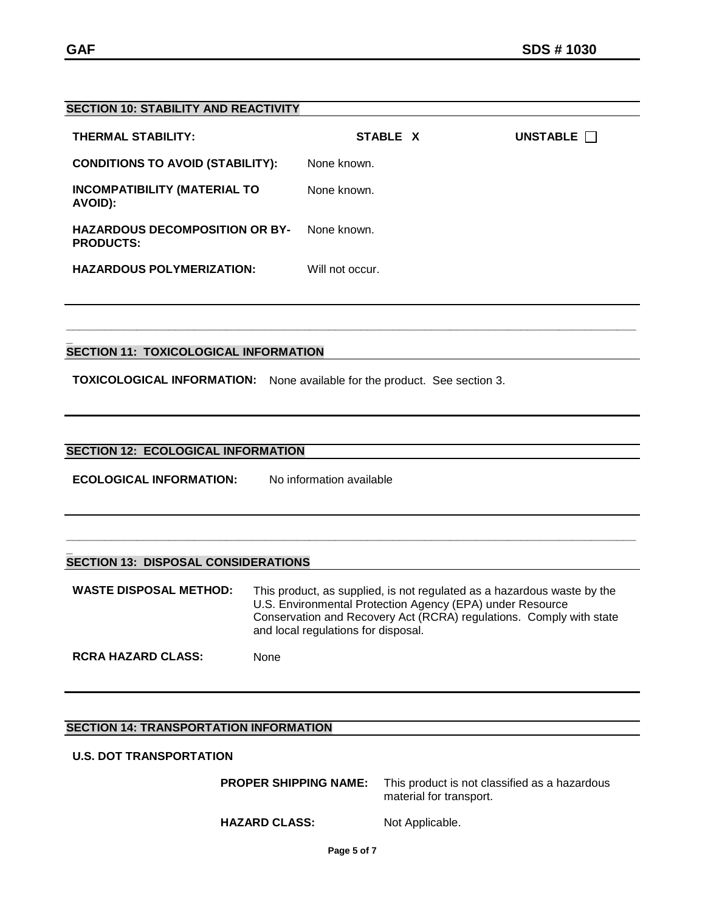#### **SECTION 10: STABILITY AND REACTIVITY**

| <b>THERMAL STABILITY:</b>                                 | STABLE X        | UNSTABLE $\Box$ |
|-----------------------------------------------------------|-----------------|-----------------|
| <b>CONDITIONS TO AVOID (STABILITY):</b>                   | None known.     |                 |
| <b>INCOMPATIBILITY (MATERIAL TO</b><br>AVOID):            | None known.     |                 |
| <b>HAZARDOUS DECOMPOSITION OR BY-</b><br><b>PRODUCTS:</b> | None known.     |                 |
| <b>HAZARDOUS POLYMERIZATION:</b>                          | Will not occur. |                 |

**\_\_\_\_\_\_\_\_\_\_\_\_\_\_\_\_\_\_\_\_\_\_\_\_\_\_\_\_\_\_\_\_\_\_\_\_\_\_\_\_\_\_\_\_\_\_\_\_\_\_\_\_\_\_\_\_\_\_\_\_\_\_\_\_\_\_\_\_\_\_\_\_\_\_\_\_\_\_\_\_\_\_\_\_\_\_\_\_\_**

#### **\_ SECTION 11: TOXICOLOGICAL INFORMATION**

**TOXICOLOGICAL INFORMATION:** None available for the product. See section 3.

#### **SECTION 12: ECOLOGICAL INFORMATION**

**ECOLOGICAL INFORMATION:** No information available

#### **\_ SECTION 13: DISPOSAL CONSIDERATIONS**

**WASTE DISPOSAL METHOD:** This product, as supplied, is not regulated as a hazardous waste by the U.S. Environmental Protection Agency (EPA) under Resource Conservation and Recovery Act (RCRA) regulations. Comply with state and local regulations for disposal.

**\_\_\_\_\_\_\_\_\_\_\_\_\_\_\_\_\_\_\_\_\_\_\_\_\_\_\_\_\_\_\_\_\_\_\_\_\_\_\_\_\_\_\_\_\_\_\_\_\_\_\_\_\_\_\_\_\_\_\_\_\_\_\_\_\_\_\_\_\_\_\_\_\_\_\_\_\_\_\_\_\_\_\_\_\_\_\_\_\_**

**RCRA HAZARD CLASS:** None

### **SECTION 14: TRANSPORTATION INFORMATION**

### **U.S. DOT TRANSPORTATION**

| <b>PROPER SHIPPING NAME:</b> | This product is not classified as a hazardous<br>material for transport. |
|------------------------------|--------------------------------------------------------------------------|
| <b>HAZARD CLASS:</b>         | Not Applicable.                                                          |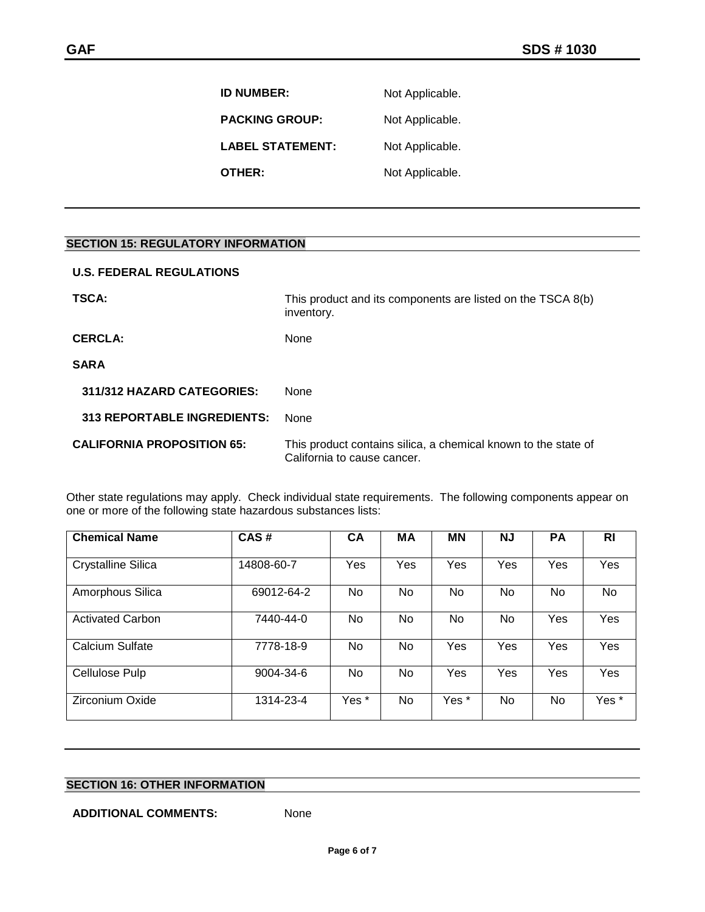**ID NUMBER:** Not Applicable. PACKING GROUP: Not Applicable. LABEL STATEMENT: Not Applicable. **OTHER:** Not Applicable.

### **SECTION 15: REGULATORY INFORMATION**

| <b>U.S. FEDERAL REGULATIONS</b>    |                                                                                               |  |
|------------------------------------|-----------------------------------------------------------------------------------------------|--|
| TSCA:                              | This product and its components are listed on the TSCA 8(b)<br>inventory.                     |  |
| <b>CERCLA:</b>                     | None                                                                                          |  |
| <b>SARA</b>                        |                                                                                               |  |
| 311/312 HAZARD CATEGORIES:         | <b>None</b>                                                                                   |  |
| <b>313 REPORTABLE INGREDIENTS:</b> | <b>None</b>                                                                                   |  |
| <b>CALIFORNIA PROPOSITION 65:</b>  | This product contains silica, a chemical known to the state of<br>California to cause cancer. |  |

Other state regulations may apply. Check individual state requirements. The following components appear on one or more of the following state hazardous substances lists:

| <b>Chemical Name</b>      | CAS#       | <b>CA</b> | MA  | <b>MN</b> | <b>NJ</b> | <b>PA</b>  | RI               |
|---------------------------|------------|-----------|-----|-----------|-----------|------------|------------------|
| <b>Crystalline Silica</b> | 14808-60-7 | Yes       | Yes | Yes       | Yes       | <b>Yes</b> | Yes              |
| Amorphous Silica          | 69012-64-2 | No.       | No. | No        | No        | No         | No               |
| <b>Activated Carbon</b>   | 7440-44-0  | No.       | No. | No.       | No.       | Yes        | Yes              |
| <b>Calcium Sulfate</b>    | 7778-18-9  | No.       | No. | Yes       | Yes       | Yes        | Yes              |
| Cellulose Pulp            | 9004-34-6  | No.       | No. | Yes       | Yes       | Yes        | Yes              |
| Zirconium Oxide           | 1314-23-4  | Yes *     | No. | Yes *     | No.       | No         | Yes <sup>*</sup> |

## **SECTION 16: OTHER INFORMATION**

#### **ADDITIONAL COMMENTS:** None